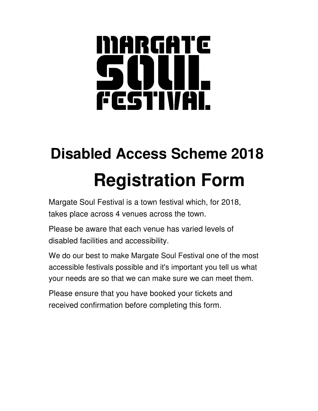# MARGATE 50UI. FCSTIVAL

## **Disabled Access Scheme 2018 Registration Form**

Margate Soul Festival is a town festival which, for 2018, takes place across 4 venues across the town.

Please be aware that each venue has varied levels of disabled facilities and accessibility.

We do our best to make Margate Soul Festival one of the most accessible festivals possible and it's important you tell us what your needs are so that we can make sure we can meet them.

Please ensure that you have booked your tickets and received confirmation before completing this form.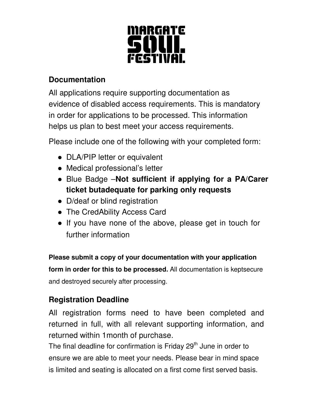

### **Documentation**

All applications require supporting documentation as evidence of disabled access requirements. This is mandatory in order for applications to be processed. This information helps us plan to best meet your access requirements.

Please include one of the following with your completed form:

- DLA/PIP letter or equivalent
- Medical professional's letter
- Blue Badge –**Not sufficient if applying for a PA/Carer ticket butadequate for parking only requests**
- D/deaf or blind registration
- The CredAbility Access Card
- If you have none of the above, please get in touch for further information

**Please submit a copy of your documentation with your application form in order for this to be processed.** All documentation is keptsecure and destroyed securely after processing.

### **Registration Deadline**

All registration forms need to have been completed and returned in full, with all relevant supporting information, and returned within 1month of purchase.

The final deadline for confirmation is Friday 29<sup>th</sup> June in order to ensure we are able to meet your needs. Please bear in mind space is limited and seating is allocated on a first come first served basis.